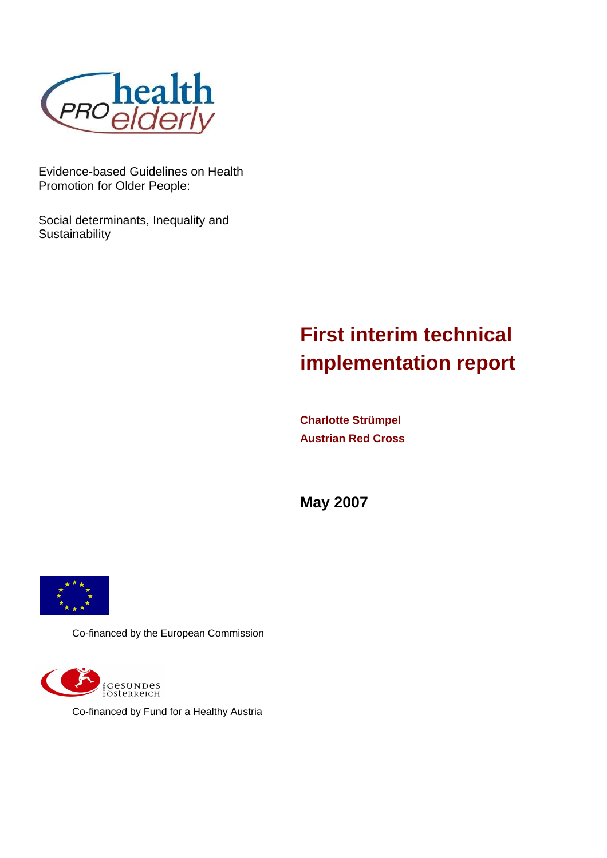

Evidence-based Guidelines on Health Promotion for Older People:

Social determinants, Inequality and **Sustainability** 

# **First interim technical implementation report**

**Charlotte Strümpel Austrian Red Cross** 

**May 2007** 



Co-financed by the European Commission



Co-financed by Fund for a Healthy Austria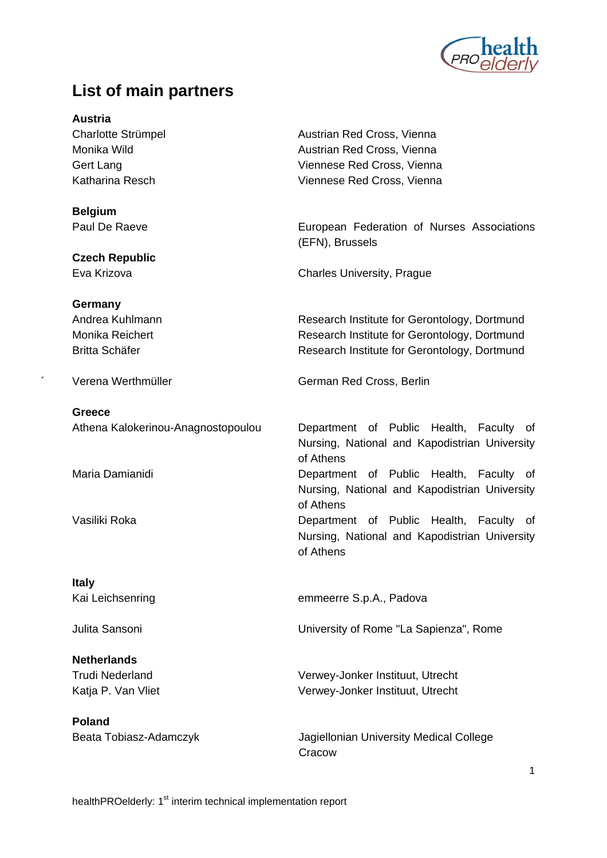

## **List of main partners**

**Austria** 

**Belgium** 

**Czech Republic** 

**Germany** 

**Greece** 

**Italy** 

**Netherlands** 

**Poland** 

Charlotte Strümpel **Austrian Red Cross**, Vienna Monika Wild **Austrian Red Cross**, Vienna Gert Lang **Calculation Contract Cross**, Viennese Red Cross, Vienna Katharina Resch Viennese Red Cross, Vienna

Paul De Raeve **European Federation of Nurses Associations** (EFN), Brussels

Eva Krizova Charles University, Prague

Andrea Kuhlmann **Research Institute for Gerontology, Dortmund** Monika Reichert **Research Institute for Gerontology, Dortmund** Britta Schäfer **Research Institute for Gerontology, Dortmund** 

Verena Werthmüller German Red Cross, Berlin

 Athena Kalokerinou-Anagnostopoulou Department of Public Health, Faculty of Nursing, National and Kapodistrian University of Athens Maria Damianidi Department of Public Health, Faculty of Nursing, National and Kapodistrian University of Athens Vasiliki Roka Department of Public Health, Faculty of

Nursing, National and Kapodistrian University of Athens

Kai Leichsenring emmeerre S.p.A., Padova

Julita Sansoni University of Rome "La Sapienza", Rome

 Trudi Nederland Verwey-Jonker Instituut, Utrecht Katia P. Van Vliet Verwey-Jonker Instituut, Utrecht

Beata Tobiasz-Adamczyk Jagiellonian University Medical College **Cracow**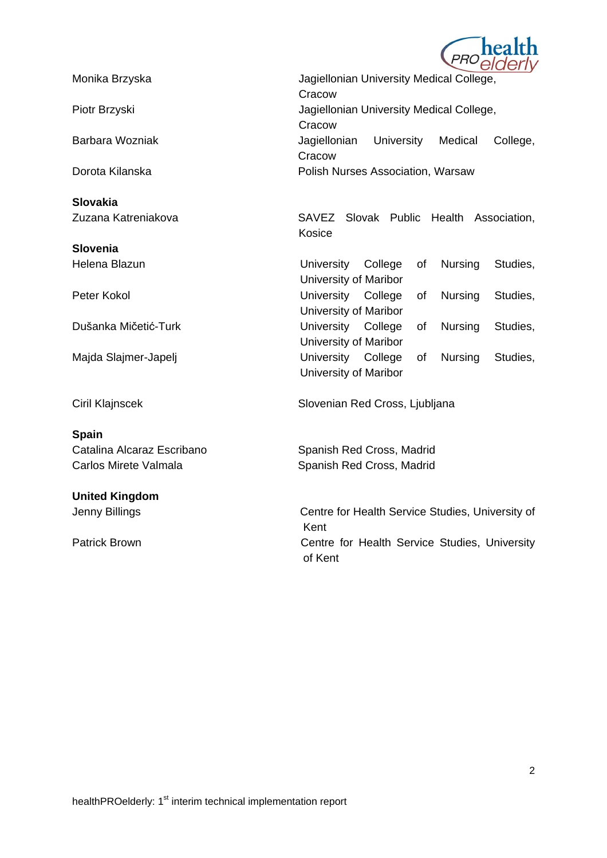

**Slovakia** 

**Slovenia**

#### **Spain**

# **United Kingdom**

Monika Brzyska Jagiellonian University Medical College, **Cracow** Piotr Brzyski Jagiellonian University Medical College, **Cracow**  Barbara Wozniak Jagiellonian University Medical College, **Cracow** Dorota Kilanska **Polish Nurses Association, Warsaw** 

 Zuzana Katreniakova SAVEZ Slovak Public Health Association, Kosice

Helena Blazun University College of Nursing Studies, University of Maribor Peter Kokol **Peter Kokol Example 20** Iniversity College of Nursing Studies, University of Maribor Dušanka Mičetić-Turk University College of Nursing Studies, University of Maribor Majda Slajmer-Japelj University College of Nursing Studies, University of Maribor

Ciril Klajnscek Slovenian Red Cross, Ljubljana

Catalina Alcaraz Escribano Spanish Red Cross, Madrid Carlos Mirete Valmala Spanish Red Cross, Madrid

Jenny Billings Centre for Health Service Studies, University of Kent Patrick Brown **Centre for Health Service Studies**, University of Kent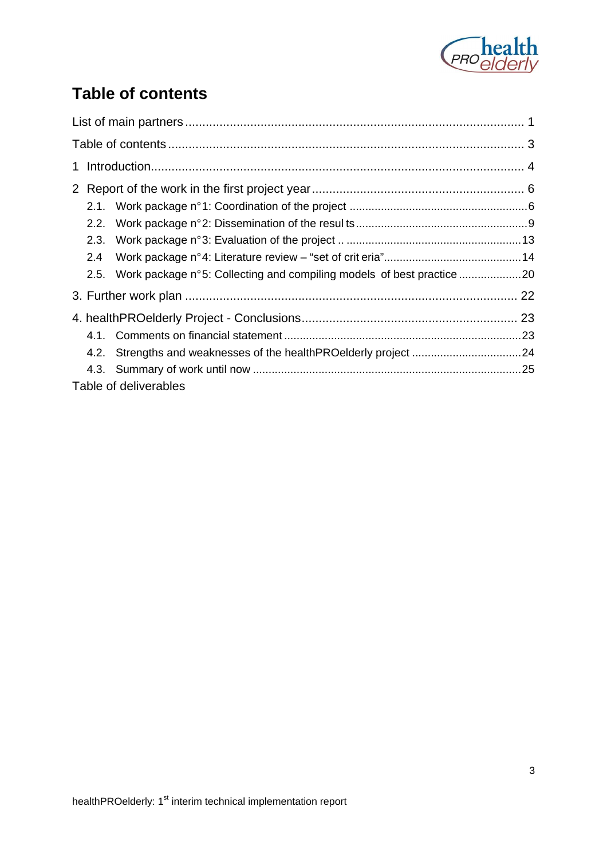

# **Table of contents**

| 2.1. |                                                                       |  |
|------|-----------------------------------------------------------------------|--|
| 2.2. |                                                                       |  |
| 2.3. |                                                                       |  |
| 2.4  |                                                                       |  |
| 2.5. | Work package n°5: Collecting and compiling models of best practice 20 |  |
|      |                                                                       |  |
|      |                                                                       |  |
|      |                                                                       |  |
|      |                                                                       |  |
|      |                                                                       |  |
|      | Table of deliverables                                                 |  |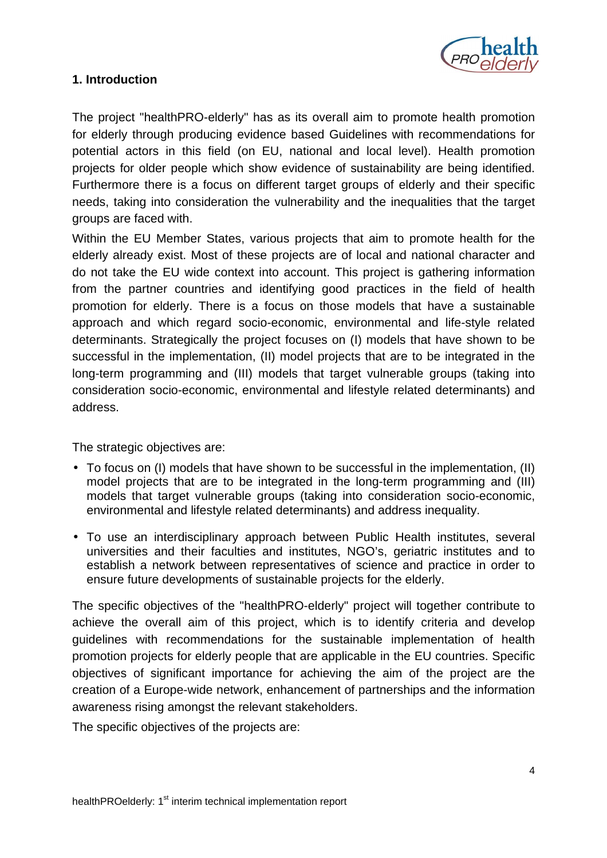

## **1. Introduction**

The project "healthPRO-elderly" has as its overall aim to promote health promotion for elderly through producing evidence based Guidelines with recommendations for potential actors in this field (on EU, national and local level). Health promotion projects for older people which show evidence of sustainability are being identified. Furthermore there is a focus on different target groups of elderly and their specific needs, taking into consideration the vulnerability and the inequalities that the target groups are faced with.

Within the EU Member States, various projects that aim to promote health for the elderly already exist. Most of these projects are of local and national character and do not take the EU wide context into account. This project is gathering information from the partner countries and identifying good practices in the field of health promotion for elderly. There is a focus on those models that have a sustainable approach and which regard socio-economic, environmental and life-style related determinants. Strategically the project focuses on (I) models that have shown to be successful in the implementation, (II) model projects that are to be integrated in the long-term programming and (III) models that target vulnerable groups (taking into consideration socio-economic, environmental and lifestyle related determinants) and address.

The strategic objectives are:

- To focus on (I) models that have shown to be successful in the implementation, (II) model projects that are to be integrated in the long-term programming and (III) models that target vulnerable groups (taking into consideration socio-economic, environmental and lifestyle related determinants) and address inequality.
- To use an interdisciplinary approach between Public Health institutes, several universities and their faculties and institutes, NGO's, geriatric institutes and to establish a network between representatives of science and practice in order to ensure future developments of sustainable projects for the elderly.

The specific objectives of the "healthPRO-elderly" project will together contribute to achieve the overall aim of this project, which is to identify criteria and develop guidelines with recommendations for the sustainable implementation of health promotion projects for elderly people that are applicable in the EU countries. Specific objectives of significant importance for achieving the aim of the project are the creation of a Europe-wide network, enhancement of partnerships and the information awareness rising amongst the relevant stakeholders.

The specific objectives of the projects are: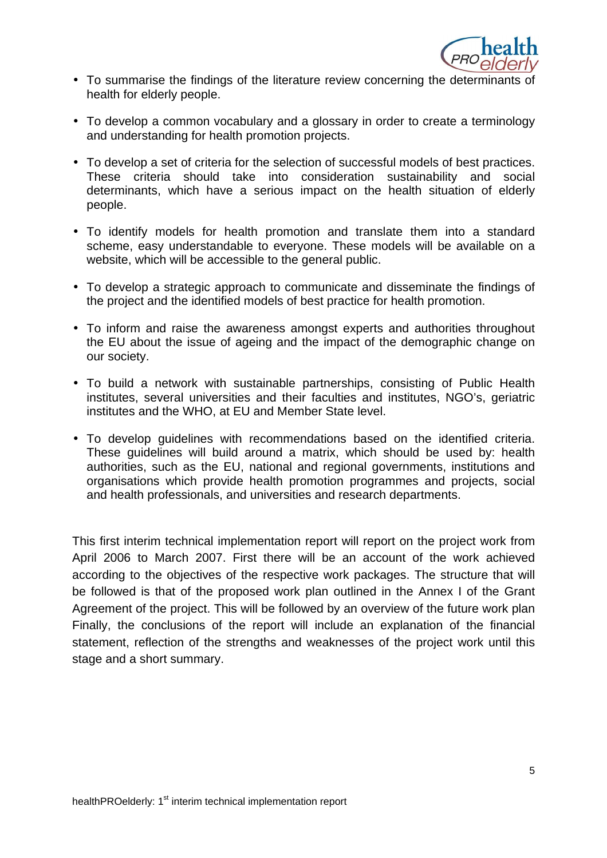

- To summarise the findings of the literature review concerning the determinants of health for elderly people.
- To develop a common vocabulary and a glossary in order to create a terminology and understanding for health promotion projects.
- To develop a set of criteria for the selection of successful models of best practices. These criteria should take into consideration sustainability and social determinants, which have a serious impact on the health situation of elderly people.
- To identify models for health promotion and translate them into a standard scheme, easy understandable to everyone. These models will be available on a website, which will be accessible to the general public.
- To develop a strategic approach to communicate and disseminate the findings of the project and the identified models of best practice for health promotion.
- To inform and raise the awareness amongst experts and authorities throughout the EU about the issue of ageing and the impact of the demographic change on our society.
- To build a network with sustainable partnerships, consisting of Public Health institutes, several universities and their faculties and institutes, NGO's, geriatric institutes and the WHO, at EU and Member State level.
- To develop guidelines with recommendations based on the identified criteria. These guidelines will build around a matrix, which should be used by: health authorities, such as the EU, national and regional governments, institutions and organisations which provide health promotion programmes and projects, social and health professionals, and universities and research departments.

This first interim technical implementation report will report on the project work from April 2006 to March 2007. First there will be an account of the work achieved according to the objectives of the respective work packages. The structure that will be followed is that of the proposed work plan outlined in the Annex I of the Grant Agreement of the project. This will be followed by an overview of the future work plan Finally, the conclusions of the report will include an explanation of the financial statement, reflection of the strengths and weaknesses of the project work until this stage and a short summary.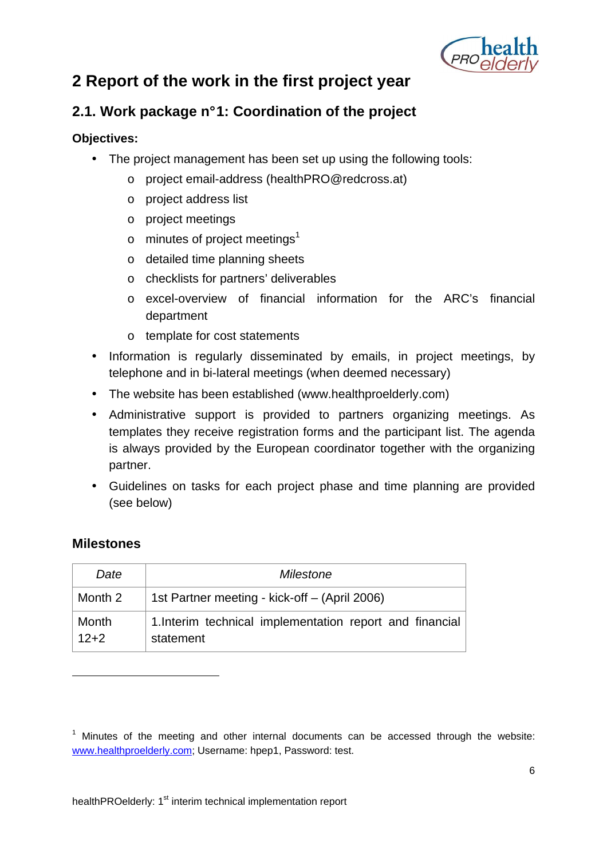

# **2 Report of the work in the first project year**

## **2.1. Work package n° 1: Coordination of the project**

## **Objectives:**

- The project management has been set up using the following tools:
	- o project email-address (healthPRO@redcross.at)
	- o project address list
	- o project meetings
	- $\circ$  minutes of project meetings<sup>1</sup>
	- o detailed time planning sheets
	- o checklists for partners' deliverables
	- o excel-overview of financial information for the ARC's financial department
	- o template for cost statements
- Information is regularly disseminated by emails, in project meetings, by telephone and in bi-lateral meetings (when deemed necessary)
- The website has been established (www.healthproelderly.com)
- Administrative support is provided to partners organizing meetings. As templates they receive registration forms and the participant list. The agenda is always provided by the European coordinator together with the organizing partner.
- Guidelines on tasks for each project phase and time planning are provided (see below)

## **Milestones**

1

| Date            | Milestone                                                             |  |  |  |  |  |
|-----------------|-----------------------------------------------------------------------|--|--|--|--|--|
| Month 2         | 1st Partner meeting - kick-off - (April 2006)                         |  |  |  |  |  |
| Month<br>$12+2$ | 1. Interim technical implementation report and financial<br>statement |  |  |  |  |  |

 $1$  Minutes of the meeting and other internal documents can be accessed through the website: www.healthproelderly.com; Username: hpep1, Password: test.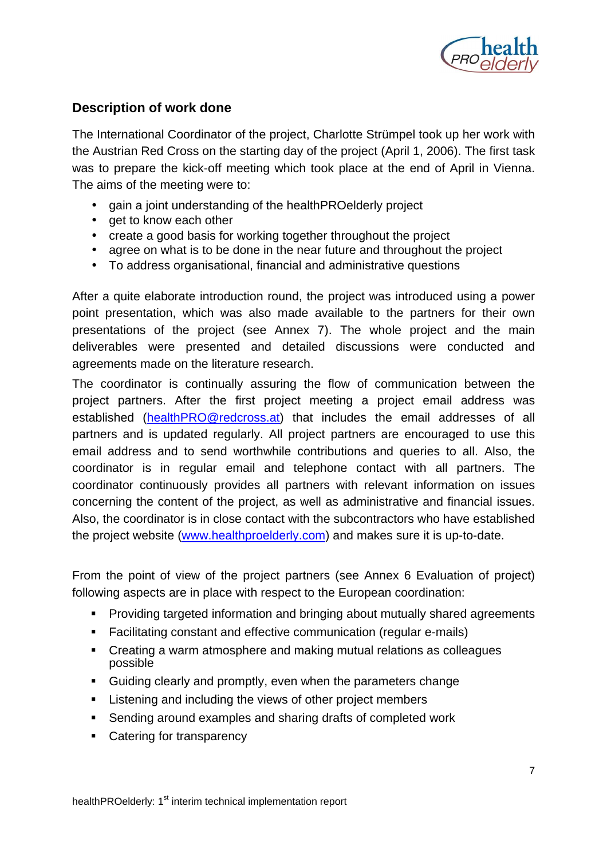

## **Description of work done**

The International Coordinator of the project, Charlotte Strümpel took up her work with the Austrian Red Cross on the starting day of the project (April 1, 2006). The first task was to prepare the kick-off meeting which took place at the end of April in Vienna. The aims of the meeting were to:

- gain a joint understanding of the healthPROelderly project
- get to know each other
- create a good basis for working together throughout the project
- agree on what is to be done in the near future and throughout the project
- To address organisational, financial and administrative questions

After a quite elaborate introduction round, the project was introduced using a power point presentation, which was also made available to the partners for their own presentations of the project (see Annex 7). The whole project and the main deliverables were presented and detailed discussions were conducted and agreements made on the literature research.

The coordinator is continually assuring the flow of communication between the project partners. After the first project meeting a project email address was established (healthPRO@redcross.at) that includes the email addresses of all partners and is updated regularly. All project partners are encouraged to use this email address and to send worthwhile contributions and queries to all. Also, the coordinator is in regular email and telephone contact with all partners. The coordinator continuously provides all partners with relevant information on issues concerning the content of the project, as well as administrative and financial issues. Also, the coordinator is in close contact with the subcontractors who have established the project website (www.healthproelderly.com) and makes sure it is up-to-date.

From the point of view of the project partners (see Annex 6 Evaluation of project) following aspects are in place with respect to the European coordination:

- **Providing targeted information and bringing about mutually shared agreements**
- Facilitating constant and effective communication (regular e-mails)
- Creating a warm atmosphere and making mutual relations as colleagues possible
- Guiding clearly and promptly, even when the parameters change
- **EXECT** Listening and including the views of other project members
- **Sending around examples and sharing drafts of completed work**
- Catering for transparency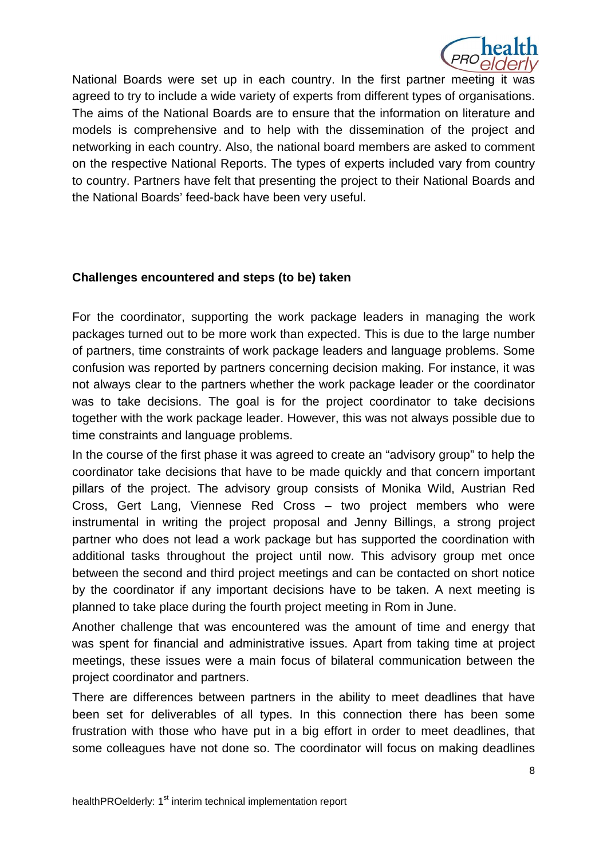

National Boards were set up in each country. In the first partner meeting it was agreed to try to include a wide variety of experts from different types of organisations. The aims of the National Boards are to ensure that the information on literature and models is comprehensive and to help with the dissemination of the project and networking in each country. Also, the national board members are asked to comment on the respective National Reports. The types of experts included vary from country to country. Partners have felt that presenting the project to their National Boards and the National Boards' feed-back have been very useful.

#### **Challenges encountered and steps (to be) taken**

For the coordinator, supporting the work package leaders in managing the work packages turned out to be more work than expected. This is due to the large number of partners, time constraints of work package leaders and language problems. Some confusion was reported by partners concerning decision making. For instance, it was not always clear to the partners whether the work package leader or the coordinator was to take decisions. The goal is for the project coordinator to take decisions together with the work package leader. However, this was not always possible due to time constraints and language problems.

In the course of the first phase it was agreed to create an "advisory group" to help the coordinator take decisions that have to be made quickly and that concern important pillars of the project. The advisory group consists of Monika Wild, Austrian Red Cross, Gert Lang, Viennese Red Cross – two project members who were instrumental in writing the project proposal and Jenny Billings, a strong project partner who does not lead a work package but has supported the coordination with additional tasks throughout the project until now. This advisory group met once between the second and third project meetings and can be contacted on short notice by the coordinator if any important decisions have to be taken. A next meeting is planned to take place during the fourth project meeting in Rom in June.

Another challenge that was encountered was the amount of time and energy that was spent for financial and administrative issues. Apart from taking time at project meetings, these issues were a main focus of bilateral communication between the project coordinator and partners.

There are differences between partners in the ability to meet deadlines that have been set for deliverables of all types. In this connection there has been some frustration with those who have put in a big effort in order to meet deadlines, that some colleagues have not done so. The coordinator will focus on making deadlines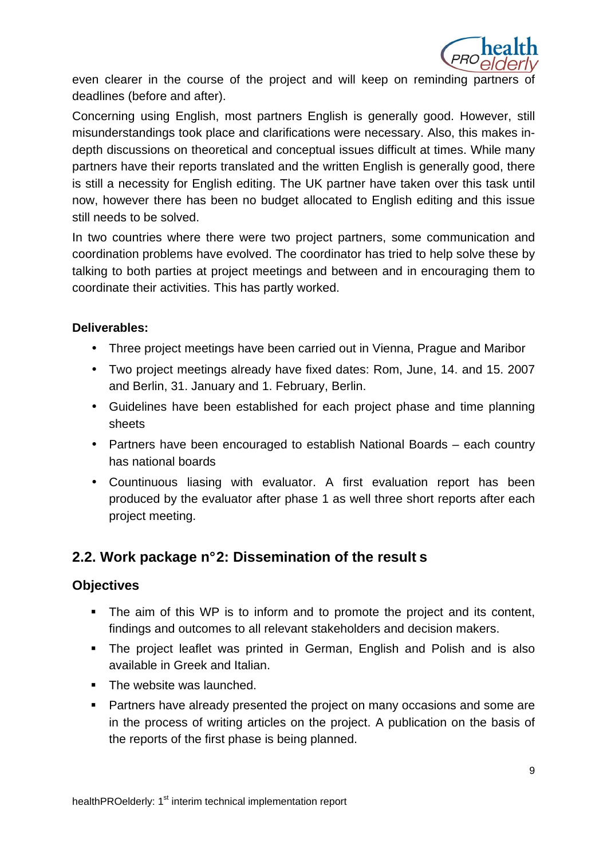

even clearer in the course of the project and will keep on reminding partners of deadlines (before and after).

Concerning using English, most partners English is generally good. However, still misunderstandings took place and clarifications were necessary. Also, this makes indepth discussions on theoretical and conceptual issues difficult at times. While many partners have their reports translated and the written English is generally good, there is still a necessity for English editing. The UK partner have taken over this task until now, however there has been no budget allocated to English editing and this issue still needs to be solved.

In two countries where there were two project partners, some communication and coordination problems have evolved. The coordinator has tried to help solve these by talking to both parties at project meetings and between and in encouraging them to coordinate their activities. This has partly worked.

## **Deliverables:**

- Three project meetings have been carried out in Vienna, Prague and Maribor
- Two project meetings already have fixed dates: Rom, June, 14. and 15. 2007 and Berlin, 31. January and 1. February, Berlin.
- Guidelines have been established for each project phase and time planning sheets
- Partners have been encouraged to establish National Boards each country has national boards
- Countinuous liasing with evaluator. A first evaluation report has been produced by the evaluator after phase 1 as well three short reports after each project meeting.

## **2.2. Work package n° 2: Dissemination of the result s**

## **Objectives**

- The aim of this WP is to inform and to promote the project and its content, findings and outcomes to all relevant stakeholders and decision makers.
- The project leaflet was printed in German, English and Polish and is also available in Greek and Italian.
- The website was launched.
- **Partners have already presented the project on many occasions and some are** in the process of writing articles on the project. A publication on the basis of the reports of the first phase is being planned.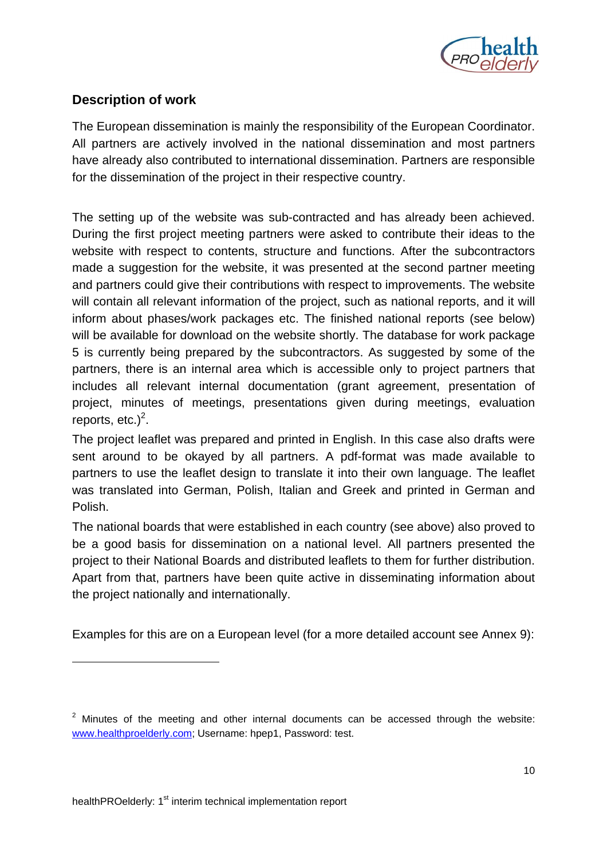

## **Description of work**

The European dissemination is mainly the responsibility of the European Coordinator. All partners are actively involved in the national dissemination and most partners have already also contributed to international dissemination. Partners are responsible for the dissemination of the project in their respective country.

The setting up of the website was sub-contracted and has already been achieved. During the first project meeting partners were asked to contribute their ideas to the website with respect to contents, structure and functions. After the subcontractors made a suggestion for the website, it was presented at the second partner meeting and partners could give their contributions with respect to improvements. The website will contain all relevant information of the project, such as national reports, and it will inform about phases/work packages etc. The finished national reports (see below) will be available for download on the website shortly. The database for work package 5 is currently being prepared by the subcontractors. As suggested by some of the partners, there is an internal area which is accessible only to project partners that includes all relevant internal documentation (grant agreement, presentation of project, minutes of meetings, presentations given during meetings, evaluation reports, etc.) $<sup>2</sup>$ .</sup>

The project leaflet was prepared and printed in English. In this case also drafts were sent around to be okayed by all partners. A pdf-format was made available to partners to use the leaflet design to translate it into their own language. The leaflet was translated into German, Polish, Italian and Greek and printed in German and Polish.

The national boards that were established in each country (see above) also proved to be a good basis for dissemination on a national level. All partners presented the project to their National Boards and distributed leaflets to them for further distribution. Apart from that, partners have been quite active in disseminating information about the project nationally and internationally.

Examples for this are on a European level (for a more detailed account see Annex 9):

1

 $2$  Minutes of the meeting and other internal documents can be accessed through the website: www.healthproelderly.com; Username: hpep1, Password: test.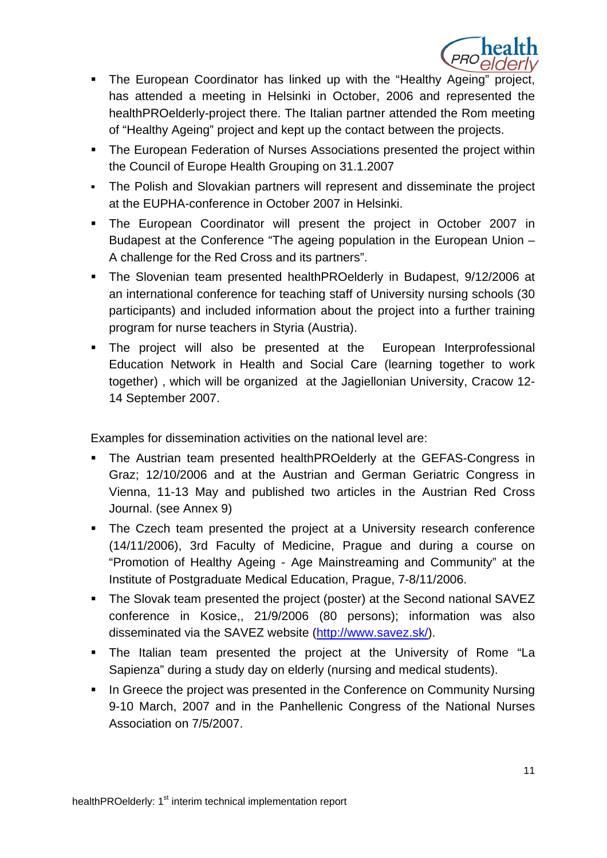

- The European Coordinator has linked up with the "Healthy Ageing" project, has attended a meeting in Helsinki in October, 2006 and represented the healthPROelderly-project there. The Italian partner attended the Rom meeting of "Healthy Ageing" project and kept up the contact between the projects.
- The European Federation of Nurses Associations presented the project within the Council of Europe Health Grouping on 31.1.2007
- The Polish and Slovakian partners will represent and disseminate the project at the EUPHA-conference in October 2007 in Helsinki.
- The European Coordinator will present the project in October 2007 in Budapest at the Conference "The ageing population in the European Union – A challenge for the Red Cross and its partners".
- The Slovenian team presented healthPROelderly in Budapest, 9/12/2006 at an international conference for teaching staff of University nursing schools (30 participants) and included information about the project into a further training program for nurse teachers in Styria (Austria).
- The project will also be presented at the European Interprofessional Education Network in Health and Social Care (learning together to work together) , which will be organized at the Jagiellonian University, Cracow 12- 14 September 2007.

Examples for dissemination activities on the national level are:

- The Austrian team presented healthPROelderly at the GEFAS-Congress in Graz; 12/10/2006 and at the Austrian and German Geriatric Congress in Vienna, 11-13 May and published two articles in the Austrian Red Cross Journal. (see Annex 9)
- The Czech team presented the project at a University research conference (14/11/2006), 3rd Faculty of Medicine, Prague and during a course on "Promotion of Healthy Ageing - Age Mainstreaming and Community" at the Institute of Postgraduate Medical Education, Prague, 7-8/11/2006.
- The Slovak team presented the project (poster) at the Second national SAVEZ conference in Kosice,, 21/9/2006 (80 persons); information was also disseminated via the SAVEZ website (http://www.savez.sk/).
- The Italian team presented the project at the University of Rome "La Sapienza" during a study day on elderly (nursing and medical students).
- In Greece the project was presented in the Conference on Community Nursing 9-10 March, 2007 and in the Panhellenic Congress of the National Nurses Association on 7/5/2007.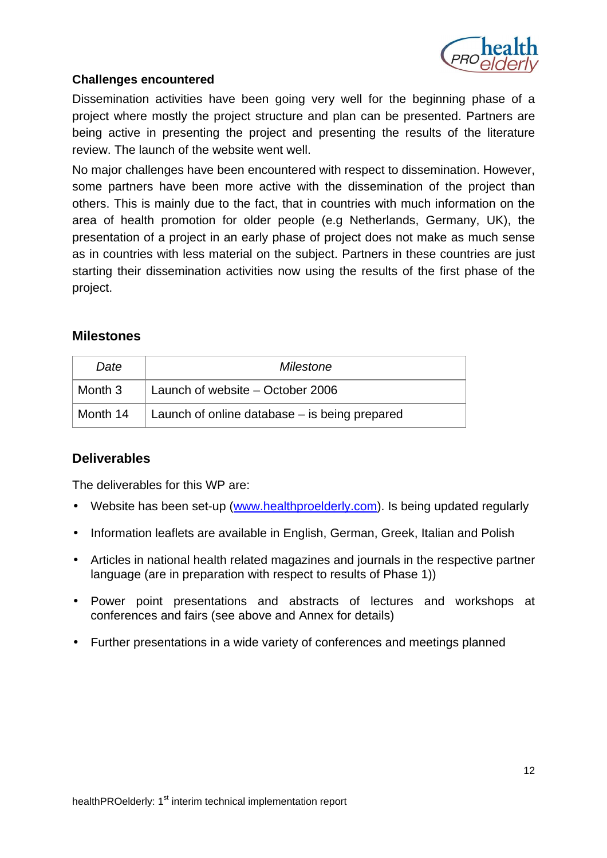

## **Challenges encountered**

Dissemination activities have been going very well for the beginning phase of a project where mostly the project structure and plan can be presented. Partners are being active in presenting the project and presenting the results of the literature review. The launch of the website went well.

No major challenges have been encountered with respect to dissemination. However, some partners have been more active with the dissemination of the project than others. This is mainly due to the fact, that in countries with much information on the area of health promotion for older people (e.g Netherlands, Germany, UK), the presentation of a project in an early phase of project does not make as much sense as in countries with less material on the subject. Partners in these countries are just starting their dissemination activities now using the results of the first phase of the project.

#### **Milestones**

| Date     | Milestone                                       |  |  |  |  |
|----------|-------------------------------------------------|--|--|--|--|
| Month 3  | Launch of website – October 2006                |  |  |  |  |
| Month 14 | Launch of online database $-$ is being prepared |  |  |  |  |

## **Deliverables**

The deliverables for this WP are:

- Website has been set-up (www.healthproelderly.com). Is being updated regularly
- Information leaflets are available in English, German, Greek, Italian and Polish
- Articles in national health related magazines and journals in the respective partner language (are in preparation with respect to results of Phase 1))
- Power point presentations and abstracts of lectures and workshops at conferences and fairs (see above and Annex for details)
- Further presentations in a wide variety of conferences and meetings planned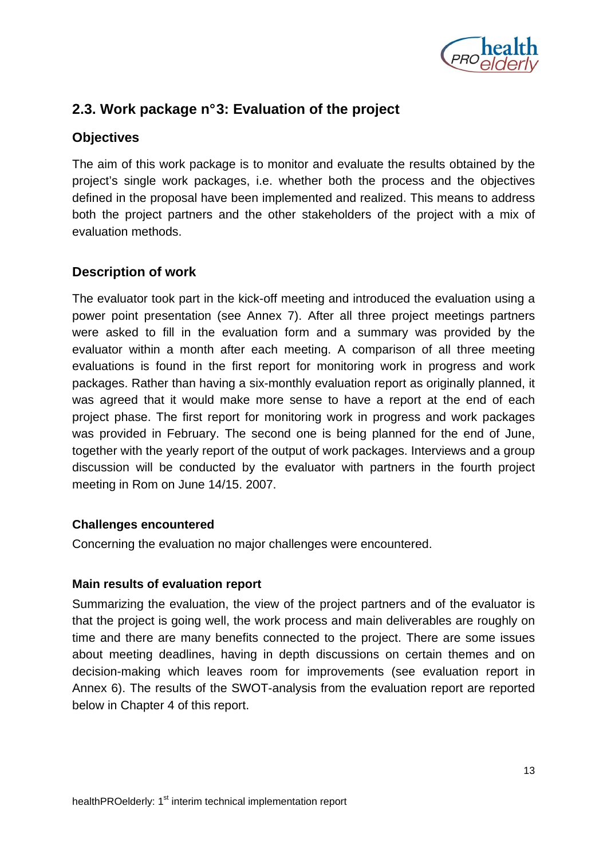

## **2.3. Work package n° 3: Evaluation of the project**

## **Objectives**

The aim of this work package is to monitor and evaluate the results obtained by the project's single work packages, i.e. whether both the process and the objectives defined in the proposal have been implemented and realized. This means to address both the project partners and the other stakeholders of the project with a mix of evaluation methods.

## **Description of work**

The evaluator took part in the kick-off meeting and introduced the evaluation using a power point presentation (see Annex 7). After all three project meetings partners were asked to fill in the evaluation form and a summary was provided by the evaluator within a month after each meeting. A comparison of all three meeting evaluations is found in the first report for monitoring work in progress and work packages. Rather than having a six-monthly evaluation report as originally planned, it was agreed that it would make more sense to have a report at the end of each project phase. The first report for monitoring work in progress and work packages was provided in February. The second one is being planned for the end of June, together with the yearly report of the output of work packages. Interviews and a group discussion will be conducted by the evaluator with partners in the fourth project meeting in Rom on June 14/15. 2007.

#### **Challenges encountered**

Concerning the evaluation no major challenges were encountered.

#### **Main results of evaluation report**

Summarizing the evaluation, the view of the project partners and of the evaluator is that the project is going well, the work process and main deliverables are roughly on time and there are many benefits connected to the project. There are some issues about meeting deadlines, having in depth discussions on certain themes and on decision-making which leaves room for improvements (see evaluation report in Annex 6). The results of the SWOT-analysis from the evaluation report are reported below in Chapter 4 of this report.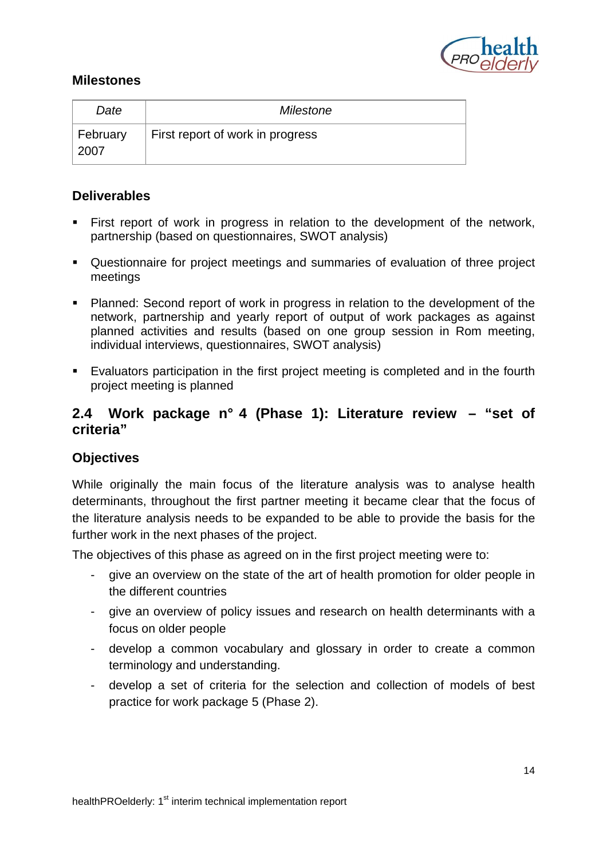

## **Milestones**

| Date             | Milestone                        |
|------------------|----------------------------------|
| February<br>2007 | First report of work in progress |

## **Deliverables**

- First report of work in progress in relation to the development of the network, partnership (based on questionnaires, SWOT analysis)
- Questionnaire for project meetings and summaries of evaluation of three project meetings
- Planned: Second report of work in progress in relation to the development of the network, partnership and yearly report of output of work packages as against planned activities and results (based on one group session in Rom meeting, individual interviews, questionnaires, SWOT analysis)
- Evaluators participation in the first project meeting is completed and in the fourth project meeting is planned

## **2.4 Work package n° 4 (Phase 1): Literature review – "set of criteria"**

## **Objectives**

While originally the main focus of the literature analysis was to analyse health determinants, throughout the first partner meeting it became clear that the focus of the literature analysis needs to be expanded to be able to provide the basis for the further work in the next phases of the project.

The objectives of this phase as agreed on in the first project meeting were to:

- give an overview on the state of the art of health promotion for older people in the different countries
- give an overview of policy issues and research on health determinants with a focus on older people
- develop a common vocabulary and glossary in order to create a common terminology and understanding.
- develop a set of criteria for the selection and collection of models of best practice for work package 5 (Phase 2).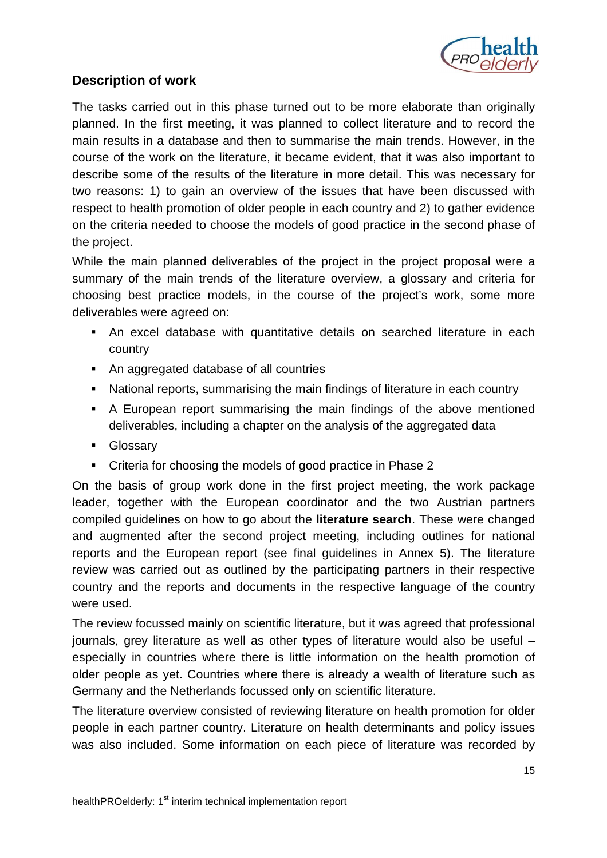

## **Description of work**

The tasks carried out in this phase turned out to be more elaborate than originally planned. In the first meeting, it was planned to collect literature and to record the main results in a database and then to summarise the main trends. However, in the course of the work on the literature, it became evident, that it was also important to describe some of the results of the literature in more detail. This was necessary for two reasons: 1) to gain an overview of the issues that have been discussed with respect to health promotion of older people in each country and 2) to gather evidence on the criteria needed to choose the models of good practice in the second phase of the project.

While the main planned deliverables of the project in the project proposal were a summary of the main trends of the literature overview, a glossary and criteria for choosing best practice models, in the course of the project's work, some more deliverables were agreed on:

- An excel database with quantitative details on searched literature in each country
- An aggregated database of all countries
- National reports, summarising the main findings of literature in each country
- A European report summarising the main findings of the above mentioned deliverables, including a chapter on the analysis of the aggregated data
- **Glossary**
- Criteria for choosing the models of good practice in Phase 2

On the basis of group work done in the first project meeting, the work package leader, together with the European coordinator and the two Austrian partners compiled guidelines on how to go about the **literature search**. These were changed and augmented after the second project meeting, including outlines for national reports and the European report (see final guidelines in Annex 5). The literature review was carried out as outlined by the participating partners in their respective country and the reports and documents in the respective language of the country were used.

The review focussed mainly on scientific literature, but it was agreed that professional journals, grey literature as well as other types of literature would also be useful – especially in countries where there is little information on the health promotion of older people as yet. Countries where there is already a wealth of literature such as Germany and the Netherlands focussed only on scientific literature.

The literature overview consisted of reviewing literature on health promotion for older people in each partner country. Literature on health determinants and policy issues was also included. Some information on each piece of literature was recorded by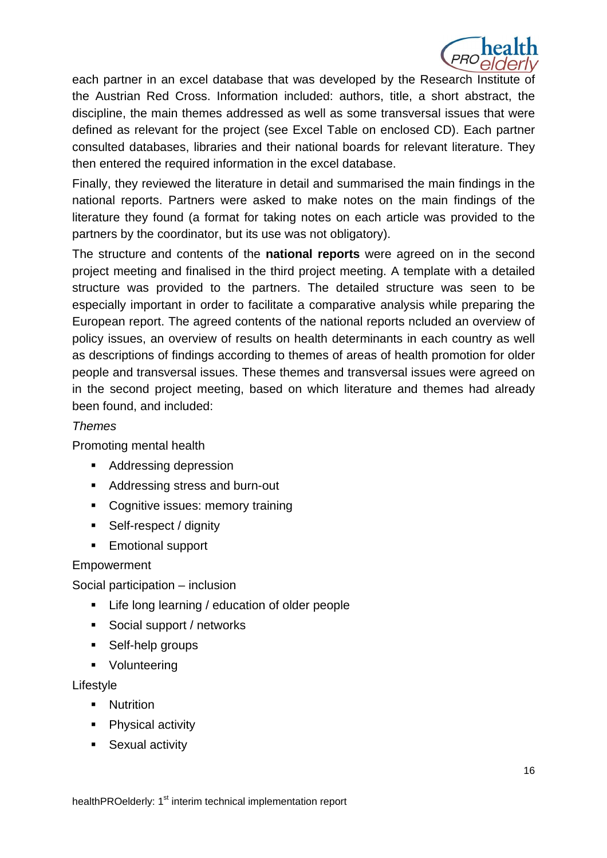

each partner in an excel database that was developed by the Research Institute of the Austrian Red Cross. Information included: authors, title, a short abstract, the discipline, the main themes addressed as well as some transversal issues that were defined as relevant for the project (see Excel Table on enclosed CD). Each partner consulted databases, libraries and their national boards for relevant literature. They then entered the required information in the excel database.

Finally, they reviewed the literature in detail and summarised the main findings in the national reports. Partners were asked to make notes on the main findings of the literature they found (a format for taking notes on each article was provided to the partners by the coordinator, but its use was not obligatory).

The structure and contents of the **national reports** were agreed on in the second project meeting and finalised in the third project meeting. A template with a detailed structure was provided to the partners. The detailed structure was seen to be especially important in order to facilitate a comparative analysis while preparing the European report. The agreed contents of the national reports ncluded an overview of policy issues, an overview of results on health determinants in each country as well as descriptions of findings according to themes of areas of health promotion for older people and transversal issues. These themes and transversal issues were agreed on in the second project meeting, based on which literature and themes had already been found, and included:

#### Themes

Promoting mental health

- Addressing depression
- Addressing stress and burn-out
- **Cognitive issues: memory training**
- Self-respect / dignity
- **Emotional support**

#### Empowerment

Social participation – inclusion

- **EXECT** Life long learning / education of older people
- **Social support / networks**
- **Self-help groups**
- **•** Volunteering

#### Lifestyle

- **Nutrition**
- Physical activity
- **Sexual activity**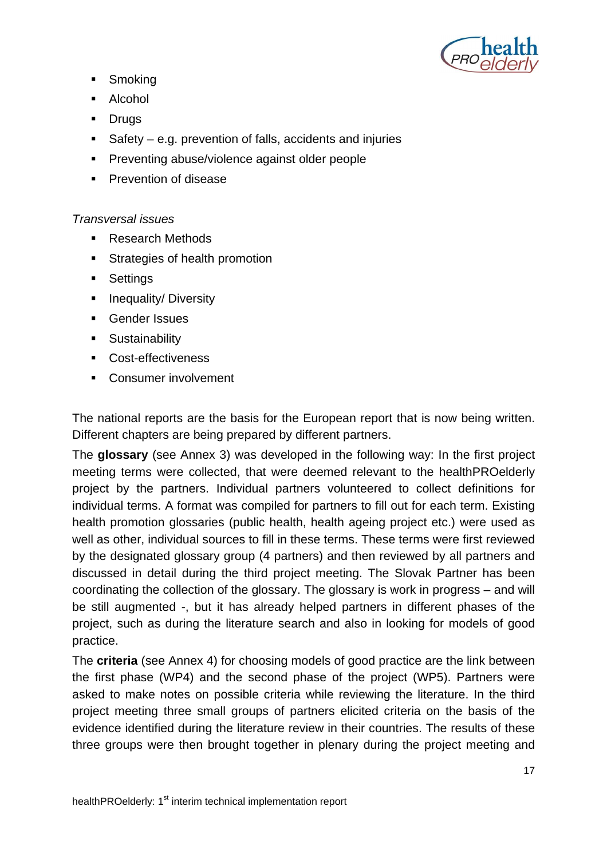

- **Smoking**
- **Alcohol**
- **Drugs**
- Safety e.g. prevention of falls, accidents and injuries
- **Preventing abuse/violence against older people**
- **Prevention of disease**

## Transversal issues

- Research Methods
- **Strategies of health promotion**
- **Settings**
- **Inequality/ Diversity**
- Gender Issues
- **Sustainability**
- Cost-effectiveness
- **Consumer involvement**

The national reports are the basis for the European report that is now being written. Different chapters are being prepared by different partners.

The **glossary** (see Annex 3) was developed in the following way: In the first project meeting terms were collected, that were deemed relevant to the healthPROelderly project by the partners. Individual partners volunteered to collect definitions for individual terms. A format was compiled for partners to fill out for each term. Existing health promotion glossaries (public health, health ageing project etc.) were used as well as other, individual sources to fill in these terms. These terms were first reviewed by the designated glossary group (4 partners) and then reviewed by all partners and discussed in detail during the third project meeting. The Slovak Partner has been coordinating the collection of the glossary. The glossary is work in progress – and will be still augmented -, but it has already helped partners in different phases of the project, such as during the literature search and also in looking for models of good practice.

The **criteria** (see Annex 4) for choosing models of good practice are the link between the first phase (WP4) and the second phase of the project (WP5). Partners were asked to make notes on possible criteria while reviewing the literature. In the third project meeting three small groups of partners elicited criteria on the basis of the evidence identified during the literature review in their countries. The results of these three groups were then brought together in plenary during the project meeting and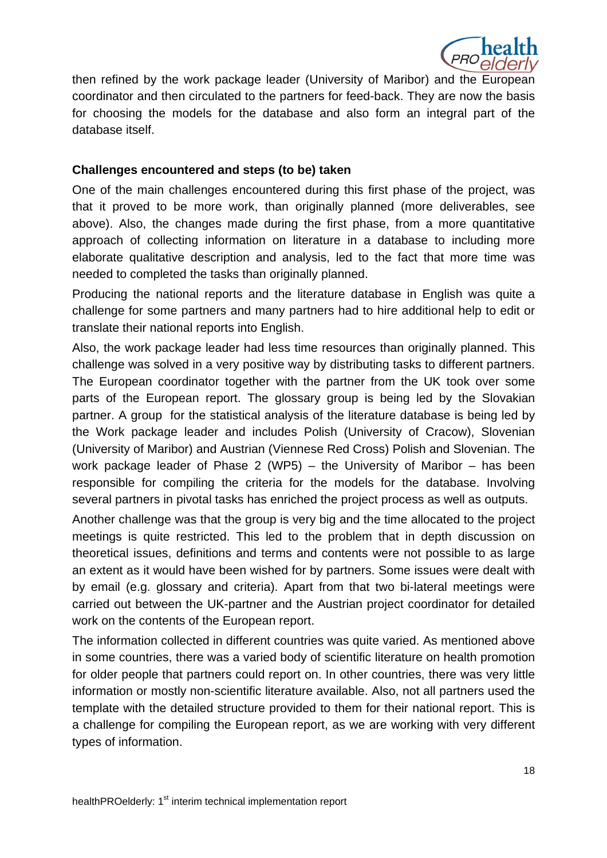

then refined by the work package leader (University of Maribor) and the European coordinator and then circulated to the partners for feed-back. They are now the basis for choosing the models for the database and also form an integral part of the database itself.

#### **Challenges encountered and steps (to be) taken**

One of the main challenges encountered during this first phase of the project, was that it proved to be more work, than originally planned (more deliverables, see above). Also, the changes made during the first phase, from a more quantitative approach of collecting information on literature in a database to including more elaborate qualitative description and analysis, led to the fact that more time was needed to completed the tasks than originally planned.

Producing the national reports and the literature database in English was quite a challenge for some partners and many partners had to hire additional help to edit or translate their national reports into English.

Also, the work package leader had less time resources than originally planned. This challenge was solved in a very positive way by distributing tasks to different partners. The European coordinator together with the partner from the UK took over some parts of the European report. The glossary group is being led by the Slovakian partner. A group for the statistical analysis of the literature database is being led by the Work package leader and includes Polish (University of Cracow), Slovenian (University of Maribor) and Austrian (Viennese Red Cross) Polish and Slovenian. The work package leader of Phase 2 (WP5) – the University of Maribor – has been responsible for compiling the criteria for the models for the database. Involving several partners in pivotal tasks has enriched the project process as well as outputs.

Another challenge was that the group is very big and the time allocated to the project meetings is quite restricted. This led to the problem that in depth discussion on theoretical issues, definitions and terms and contents were not possible to as large an extent as it would have been wished for by partners. Some issues were dealt with by email (e.g. glossary and criteria). Apart from that two bi-lateral meetings were carried out between the UK-partner and the Austrian project coordinator for detailed work on the contents of the European report.

The information collected in different countries was quite varied. As mentioned above in some countries, there was a varied body of scientific literature on health promotion for older people that partners could report on. In other countries, there was very little information or mostly non-scientific literature available. Also, not all partners used the template with the detailed structure provided to them for their national report. This is a challenge for compiling the European report, as we are working with very different types of information.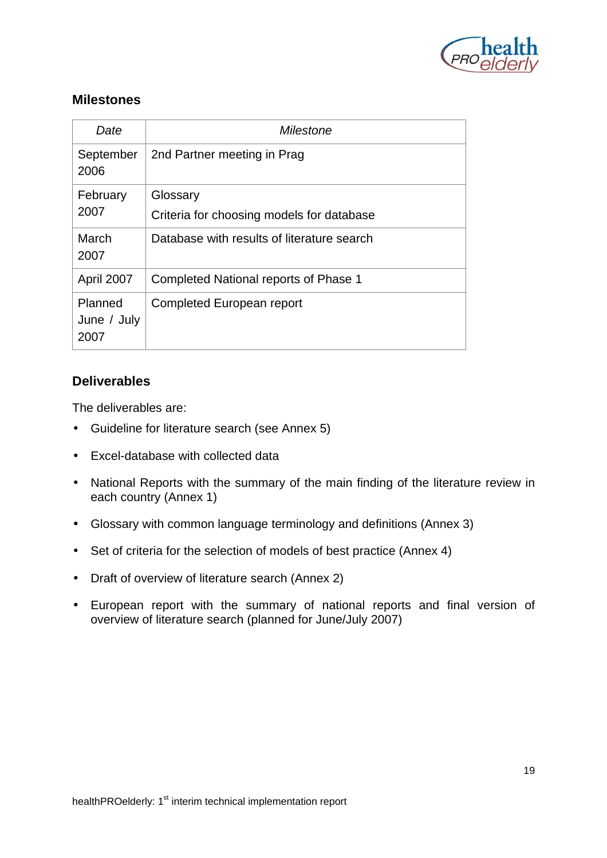

## **Milestones**

| Date                           | Milestone                                  |  |  |  |
|--------------------------------|--------------------------------------------|--|--|--|
| September<br>2006              | 2nd Partner meeting in Prag                |  |  |  |
| February                       | Glossary                                   |  |  |  |
| 2007                           | Criteria for choosing models for database  |  |  |  |
| March<br>2007                  | Database with results of literature search |  |  |  |
| April 2007                     | Completed National reports of Phase 1      |  |  |  |
| Planned<br>June / July<br>2007 | Completed European report                  |  |  |  |

## **Deliverables**

The deliverables are:

- Guideline for literature search (see Annex 5)
- Excel-database with collected data
- National Reports with the summary of the main finding of the literature review in each country (Annex 1)
- Glossary with common language terminology and definitions (Annex 3)
- Set of criteria for the selection of models of best practice (Annex 4)
- Draft of overview of literature search (Annex 2)
- European report with the summary of national reports and final version of overview of literature search (planned for June/July 2007)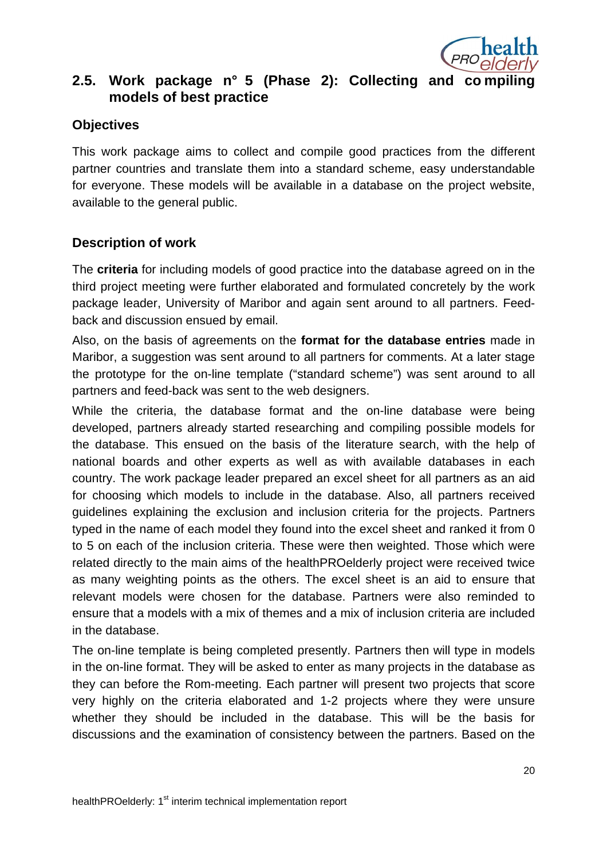

## **2.5. Work package n° 5 (Phase 2): Collecting and co mpiling models of best practice**

#### **Objectives**

This work package aims to collect and compile good practices from the different partner countries and translate them into a standard scheme, easy understandable for everyone. These models will be available in a database on the project website, available to the general public.

## **Description of work**

The **criteria** for including models of good practice into the database agreed on in the third project meeting were further elaborated and formulated concretely by the work package leader, University of Maribor and again sent around to all partners. Feedback and discussion ensued by email.

Also, on the basis of agreements on the **format for the database entries** made in Maribor, a suggestion was sent around to all partners for comments. At a later stage the prototype for the on-line template ("standard scheme") was sent around to all partners and feed-back was sent to the web designers.

While the criteria, the database format and the on-line database were being developed, partners already started researching and compiling possible models for the database. This ensued on the basis of the literature search, with the help of national boards and other experts as well as with available databases in each country. The work package leader prepared an excel sheet for all partners as an aid for choosing which models to include in the database. Also, all partners received guidelines explaining the exclusion and inclusion criteria for the projects. Partners typed in the name of each model they found into the excel sheet and ranked it from 0 to 5 on each of the inclusion criteria. These were then weighted. Those which were related directly to the main aims of the healthPROelderly project were received twice as many weighting points as the others. The excel sheet is an aid to ensure that relevant models were chosen for the database. Partners were also reminded to ensure that a models with a mix of themes and a mix of inclusion criteria are included in the database.

The on-line template is being completed presently. Partners then will type in models in the on-line format. They will be asked to enter as many projects in the database as they can before the Rom-meeting. Each partner will present two projects that score very highly on the criteria elaborated and 1-2 projects where they were unsure whether they should be included in the database. This will be the basis for discussions and the examination of consistency between the partners. Based on the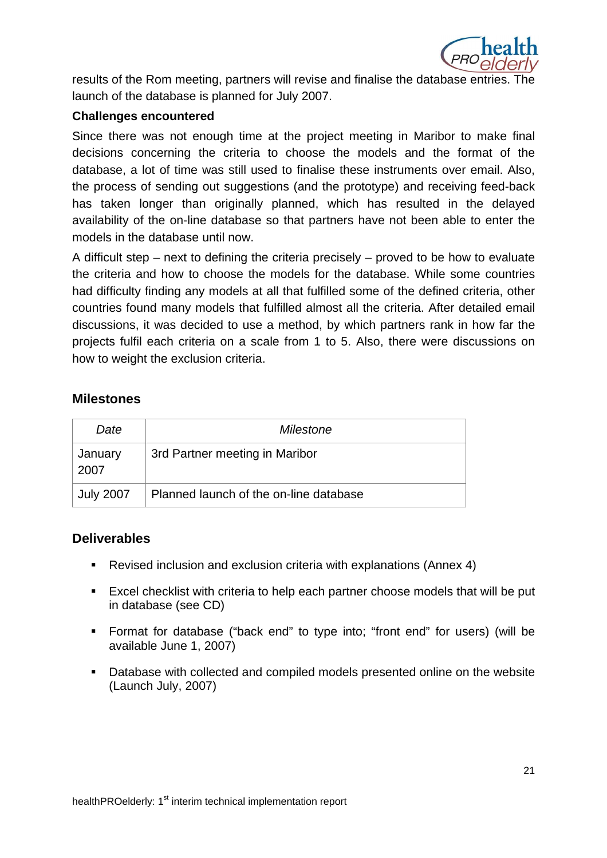

results of the Rom meeting, partners will revise and finalise the database entries. The launch of the database is planned for July 2007.

#### **Challenges encountered**

Since there was not enough time at the project meeting in Maribor to make final decisions concerning the criteria to choose the models and the format of the database, a lot of time was still used to finalise these instruments over email. Also, the process of sending out suggestions (and the prototype) and receiving feed-back has taken longer than originally planned, which has resulted in the delayed availability of the on-line database so that partners have not been able to enter the models in the database until now.

A difficult step – next to defining the criteria precisely – proved to be how to evaluate the criteria and how to choose the models for the database. While some countries had difficulty finding any models at all that fulfilled some of the defined criteria, other countries found many models that fulfilled almost all the criteria. After detailed email discussions, it was decided to use a method, by which partners rank in how far the projects fulfil each criteria on a scale from 1 to 5. Also, there were discussions on how to weight the exclusion criteria.

#### **Milestones**

| Date             | Milestone                              |  |  |
|------------------|----------------------------------------|--|--|
| January<br>2007  | 3rd Partner meeting in Maribor         |  |  |
| <b>July 2007</b> | Planned launch of the on-line database |  |  |

## **Deliverables**

- Revised inclusion and exclusion criteria with explanations (Annex 4)
- Excel checklist with criteria to help each partner choose models that will be put in database (see CD)
- Format for database ("back end" to type into; "front end" for users) (will be available June 1, 2007)
- Database with collected and compiled models presented online on the website (Launch July, 2007)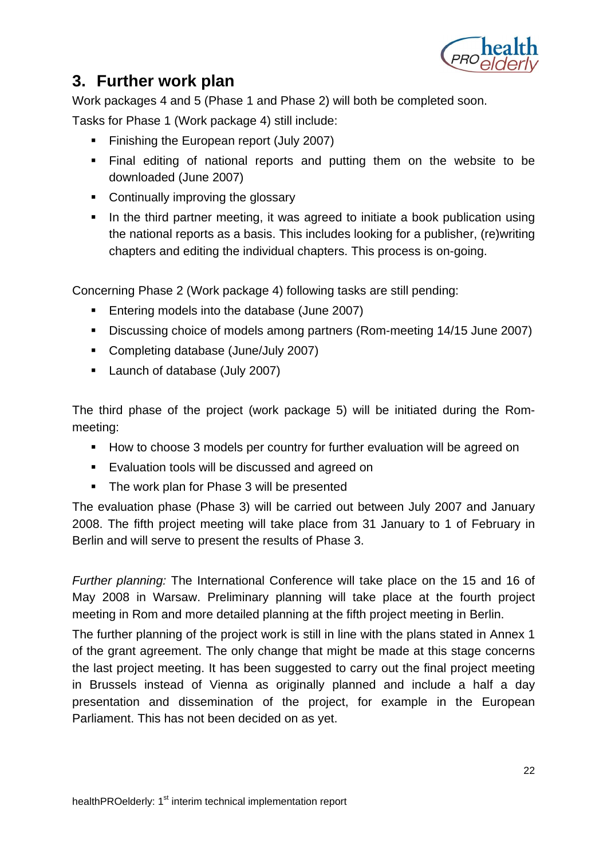

# **3. Further work plan**

Work packages 4 and 5 (Phase 1 and Phase 2) will both be completed soon.

Tasks for Phase 1 (Work package 4) still include:

- Finishing the European report (July 2007)
- Final editing of national reports and putting them on the website to be downloaded (June 2007)
- Continually improving the glossary
- In the third partner meeting, it was agreed to initiate a book publication using the national reports as a basis. This includes looking for a publisher, (re)writing chapters and editing the individual chapters. This process is on-going.

Concerning Phase 2 (Work package 4) following tasks are still pending:

- **Entering models into the database (June 2007)**
- Discussing choice of models among partners (Rom-meeting 14/15 June 2007)
- Completing database (June/July 2007)
- **Launch of database (July 2007)**

The third phase of the project (work package 5) will be initiated during the Rommeeting:

- How to choose 3 models per country for further evaluation will be agreed on
- **Evaluation tools will be discussed and agreed on**
- The work plan for Phase 3 will be presented

The evaluation phase (Phase 3) will be carried out between July 2007 and January 2008. The fifth project meeting will take place from 31 January to 1 of February in Berlin and will serve to present the results of Phase 3.

Further planning: The International Conference will take place on the 15 and 16 of May 2008 in Warsaw. Preliminary planning will take place at the fourth project meeting in Rom and more detailed planning at the fifth project meeting in Berlin.

The further planning of the project work is still in line with the plans stated in Annex 1 of the grant agreement. The only change that might be made at this stage concerns the last project meeting. It has been suggested to carry out the final project meeting in Brussels instead of Vienna as originally planned and include a half a day presentation and dissemination of the project, for example in the European Parliament. This has not been decided on as yet.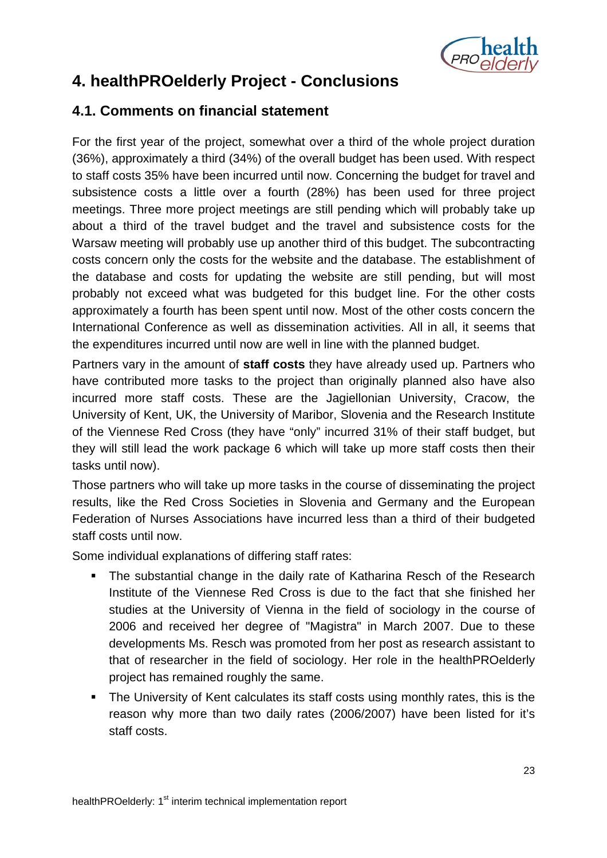

# **4. healthPROelderly Project - Conclusions**

## **4.1. Comments on financial statement**

For the first year of the project, somewhat over a third of the whole project duration (36%), approximately a third (34%) of the overall budget has been used. With respect to staff costs 35% have been incurred until now. Concerning the budget for travel and subsistence costs a little over a fourth (28%) has been used for three project meetings. Three more project meetings are still pending which will probably take up about a third of the travel budget and the travel and subsistence costs for the Warsaw meeting will probably use up another third of this budget. The subcontracting costs concern only the costs for the website and the database. The establishment of the database and costs for updating the website are still pending, but will most probably not exceed what was budgeted for this budget line. For the other costs approximately a fourth has been spent until now. Most of the other costs concern the International Conference as well as dissemination activities. All in all, it seems that the expenditures incurred until now are well in line with the planned budget.

Partners vary in the amount of **staff costs** they have already used up. Partners who have contributed more tasks to the project than originally planned also have also incurred more staff costs. These are the Jagiellonian University, Cracow, the University of Kent, UK, the University of Maribor, Slovenia and the Research Institute of the Viennese Red Cross (they have "only" incurred 31% of their staff budget, but they will still lead the work package 6 which will take up more staff costs then their tasks until now).

Those partners who will take up more tasks in the course of disseminating the project results, like the Red Cross Societies in Slovenia and Germany and the European Federation of Nurses Associations have incurred less than a third of their budgeted staff costs until now.

Some individual explanations of differing staff rates:

- The substantial change in the daily rate of Katharina Resch of the Research Institute of the Viennese Red Cross is due to the fact that she finished her studies at the University of Vienna in the field of sociology in the course of 2006 and received her degree of "Magistra" in March 2007. Due to these developments Ms. Resch was promoted from her post as research assistant to that of researcher in the field of sociology. Her role in the healthPROelderly project has remained roughly the same.
- The University of Kent calculates its staff costs using monthly rates, this is the reason why more than two daily rates (2006/2007) have been listed for it's staff costs.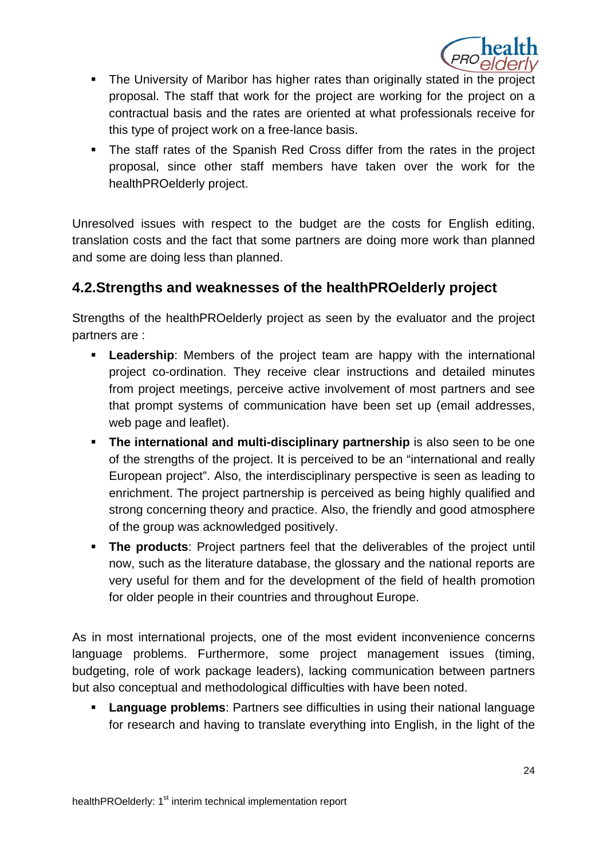

- The University of Maribor has higher rates than originally stated in the project proposal. The staff that work for the project are working for the project on a contractual basis and the rates are oriented at what professionals receive for this type of project work on a free-lance basis.
- The staff rates of the Spanish Red Cross differ from the rates in the project proposal, since other staff members have taken over the work for the healthPROelderly project.

Unresolved issues with respect to the budget are the costs for English editing, translation costs and the fact that some partners are doing more work than planned and some are doing less than planned.

## **4.2.Strengths and weaknesses of the healthPROelderly project**

Strengths of the healthPROelderly project as seen by the evaluator and the project partners are :

- **Leadership**: Members of the project team are happy with the international project co-ordination. They receive clear instructions and detailed minutes from project meetings, perceive active involvement of most partners and see that prompt systems of communication have been set up (email addresses, web page and leaflet).
- **The international and multi-disciplinary partnership** is also seen to be one of the strengths of the project. It is perceived to be an "international and really European project". Also, the interdisciplinary perspective is seen as leading to enrichment. The project partnership is perceived as being highly qualified and strong concerning theory and practice. Also, the friendly and good atmosphere of the group was acknowledged positively.
- **The products**: Project partners feel that the deliverables of the project until now, such as the literature database, the glossary and the national reports are very useful for them and for the development of the field of health promotion for older people in their countries and throughout Europe.

As in most international projects, one of the most evident inconvenience concerns language problems. Furthermore, some project management issues (timing, budgeting, role of work package leaders), lacking communication between partners but also conceptual and methodological difficulties with have been noted.

 **Language problems**: Partners see difficulties in using their national language for research and having to translate everything into English, in the light of the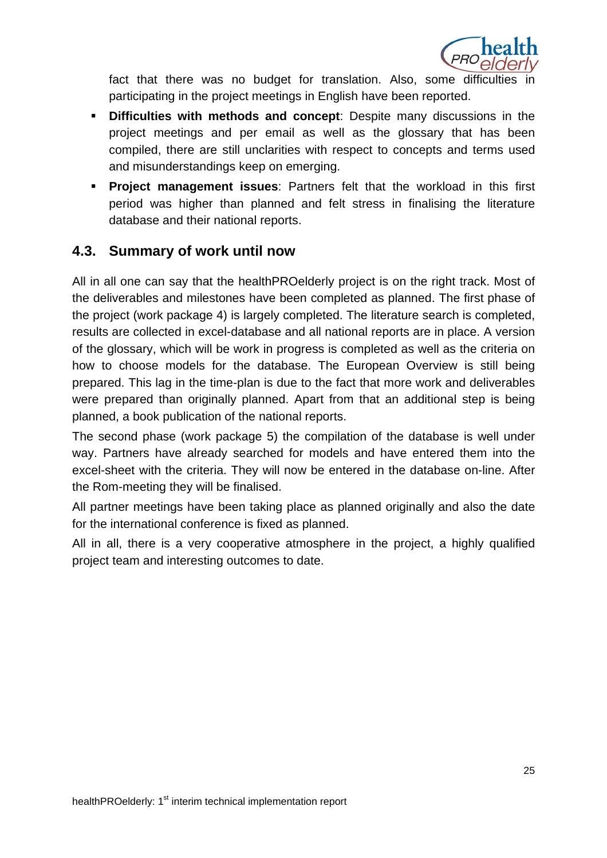

fact that there was no budget for translation. Also, some difficulties participating in the project meetings in English have been reported.

- **Difficulties with methods and concept**: Despite many discussions in the project meetings and per email as well as the glossary that has been compiled, there are still unclarities with respect to concepts and terms used and misunderstandings keep on emerging.
- **Project management issues**: Partners felt that the workload in this first period was higher than planned and felt stress in finalising the literature database and their national reports.

## **4.3. Summary of work until now**

All in all one can say that the healthPROelderly project is on the right track. Most of the deliverables and milestones have been completed as planned. The first phase of the project (work package 4) is largely completed. The literature search is completed, results are collected in excel-database and all national reports are in place. A version of the glossary, which will be work in progress is completed as well as the criteria on how to choose models for the database. The European Overview is still being prepared. This lag in the time-plan is due to the fact that more work and deliverables were prepared than originally planned. Apart from that an additional step is being planned, a book publication of the national reports.

The second phase (work package 5) the compilation of the database is well under way. Partners have already searched for models and have entered them into the excel-sheet with the criteria. They will now be entered in the database on-line. After the Rom-meeting they will be finalised.

All partner meetings have been taking place as planned originally and also the date for the international conference is fixed as planned.

All in all, there is a very cooperative atmosphere in the project, a highly qualified project team and interesting outcomes to date.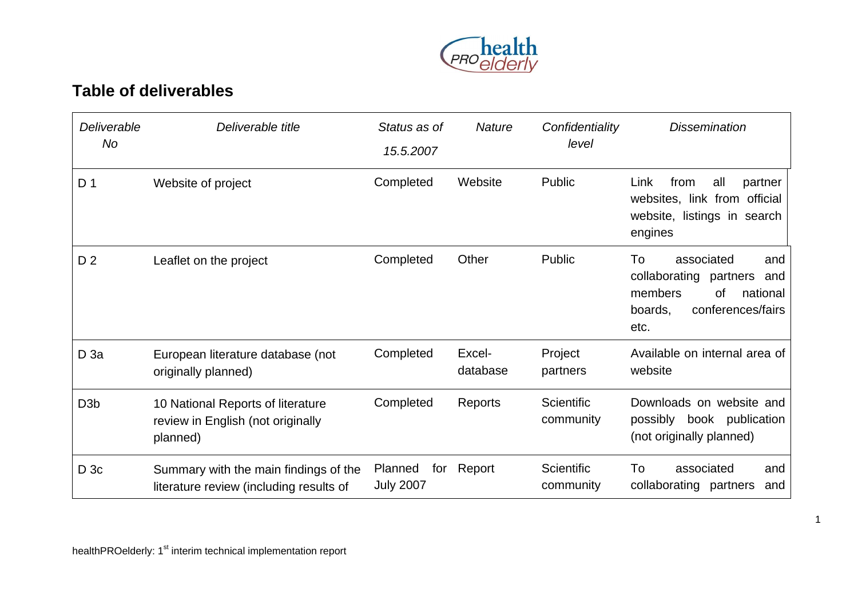

# **Table of deliverables**

| Deliverable<br>No | Deliverable title                                                                  | Status as of<br>15.5.2007          | <b>Nature</b>      | Confidentiality<br>level | <b>Dissemination</b>                                                                                                             |
|-------------------|------------------------------------------------------------------------------------|------------------------------------|--------------------|--------------------------|----------------------------------------------------------------------------------------------------------------------------------|
| D <sub>1</sub>    | Website of project                                                                 | Completed                          | Website            | Public                   | all<br>Link<br>from<br>partner<br>websites, link from official<br>website, listings in search<br>engines                         |
| D <sub>2</sub>    | Leaflet on the project                                                             | Completed                          | Other              | Public                   | To<br>associated<br>and<br>collaborating<br>partners<br>and<br>members<br>οf<br>national<br>conferences/fairs<br>boards.<br>etc. |
| $D$ 3a            | European literature database (not<br>originally planned)                           | Completed                          | Excel-<br>database | Project<br>partners      | Available on internal area of<br>website                                                                                         |
| D <sub>3</sub> b  | 10 National Reports of literature<br>review in English (not originally<br>planned) | Completed                          | Reports            | Scientific<br>community  | Downloads on website and<br>possibly book publication<br>(not originally planned)                                                |
| D <sub>3c</sub>   | Summary with the main findings of the<br>literature review (including results of   | Planned<br>for<br><b>July 2007</b> | Report             | Scientific<br>community  | To<br>associated<br>and<br>collaborating<br>partners<br>and                                                                      |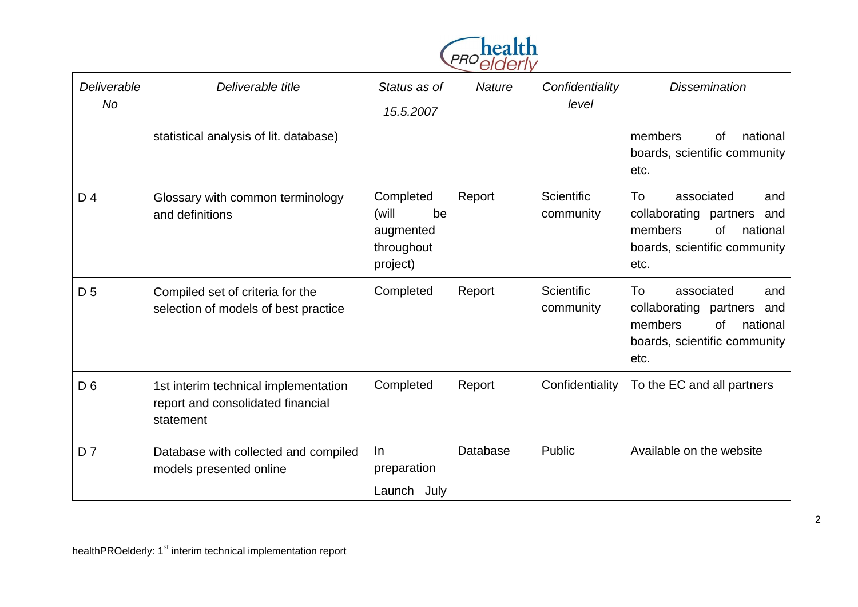

| Deliverable<br>No. | Deliverable title                                                                      | Status as of<br>15.5.2007                                       | <b>Nature</b> | Confidentiality<br>level       | <b>Dissemination</b>                                                                                                                 |
|--------------------|----------------------------------------------------------------------------------------|-----------------------------------------------------------------|---------------|--------------------------------|--------------------------------------------------------------------------------------------------------------------------------------|
|                    | statistical analysis of lit. database)                                                 |                                                                 |               |                                | national<br>members<br>of<br>boards, scientific community<br>etc.                                                                    |
| D 4                | Glossary with common terminology<br>and definitions                                    | Completed<br>(will<br>be<br>augmented<br>throughout<br>project) | Report        | <b>Scientific</b><br>community | To<br>associated<br>and<br>collaborating partners<br>and<br>members<br>national<br><b>of</b><br>boards, scientific community<br>etc. |
| D <sub>5</sub>     | Compiled set of criteria for the<br>selection of models of best practice               | Completed                                                       | Report        | Scientific<br>community        | associated<br>To<br>and<br>collaborating partners<br>and<br>members<br><b>of</b><br>national<br>boards, scientific community<br>etc. |
| D <sub>6</sub>     | 1st interim technical implementation<br>report and consolidated financial<br>statement | Completed                                                       | Report        | Confidentiality                | To the EC and all partners                                                                                                           |
| D <sub>7</sub>     | Database with collected and compiled<br>models presented online                        | In<br>preparation<br>Launch July                                | Database      | Public                         | Available on the website                                                                                                             |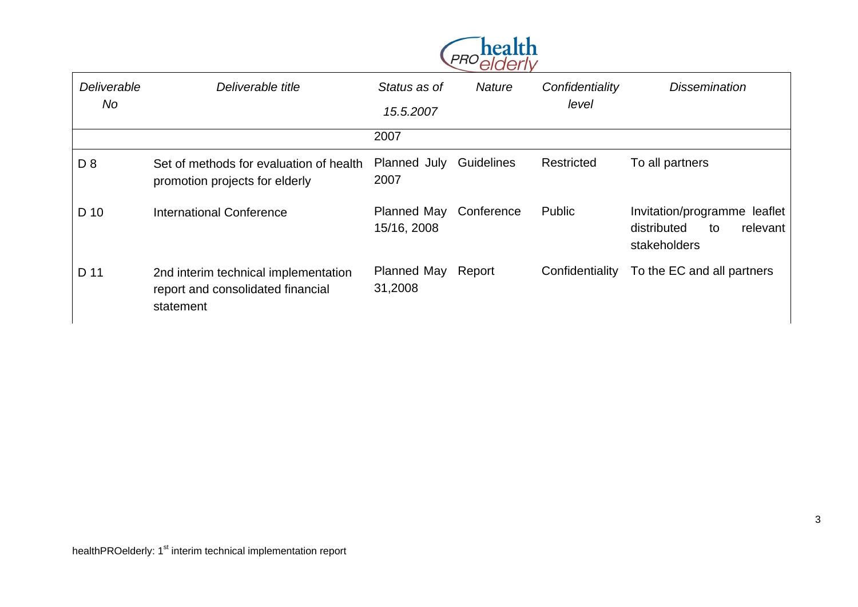

| Deliverable<br>No | Deliverable title                                                                      | Status as of<br>15.5.2007     | <b>Nature</b> | Confidentiality<br>level | <b>Dissemination</b>                                                          |
|-------------------|----------------------------------------------------------------------------------------|-------------------------------|---------------|--------------------------|-------------------------------------------------------------------------------|
|                   |                                                                                        | 2007                          |               |                          |                                                                               |
| D <sub>8</sub>    | Set of methods for evaluation of health<br>promotion projects for elderly              | Planned July<br>2007          | Guidelines    | Restricted               | To all partners                                                               |
| D 10              | <b>International Conference</b>                                                        | Planned May<br>15/16, 2008    | Conference    | Public                   | Invitation/programme leaflet<br>distributed<br>relevant<br>to<br>stakeholders |
| D 11              | 2nd interim technical implementation<br>report and consolidated financial<br>statement | Planned May Report<br>31,2008 |               | Confidentiality          | To the EC and all partners                                                    |